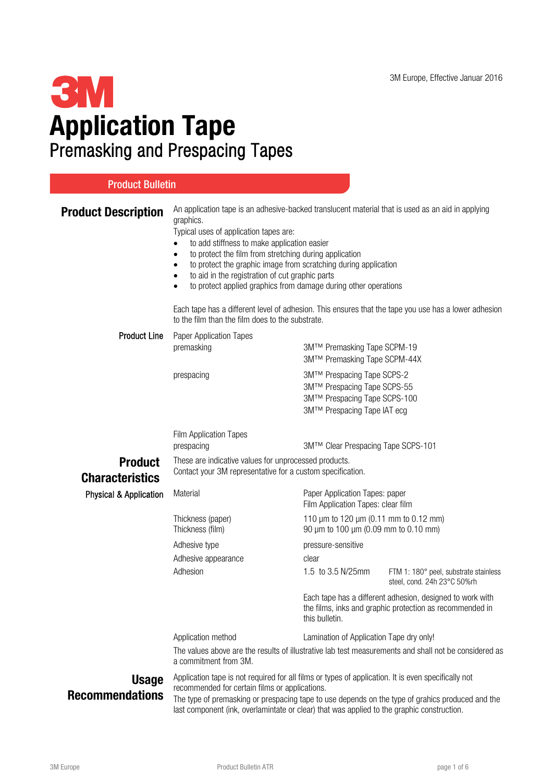# **3M** Application Tape Premasking and Prespacing Tapes

| <b>Product Bulletin</b>                  |                                                                                                                                                                                                                                                                                                                                                                                                                                                                                                                                                                                                                                                       |                                                                                                                                         |                                                                      |  |
|------------------------------------------|-------------------------------------------------------------------------------------------------------------------------------------------------------------------------------------------------------------------------------------------------------------------------------------------------------------------------------------------------------------------------------------------------------------------------------------------------------------------------------------------------------------------------------------------------------------------------------------------------------------------------------------------------------|-----------------------------------------------------------------------------------------------------------------------------------------|----------------------------------------------------------------------|--|
| <b>Product Description</b>               | An application tape is an adhesive-backed translucent material that is used as an aid in applying<br>graphics.<br>Typical uses of application tapes are:<br>to add stiffness to make application easier<br>to protect the film from stretching during application<br>to protect the graphic image from scratching during application<br>٠<br>to aid in the registration of cut graphic parts<br>$\bullet$<br>to protect applied graphics from damage during other operations<br>$\bullet$<br>Each tape has a different level of adhesion. This ensures that the tape you use has a lower adhesion<br>to the film than the film does to the substrate. |                                                                                                                                         |                                                                      |  |
| <b>Product Line</b>                      | Paper Application Tapes<br>premasking                                                                                                                                                                                                                                                                                                                                                                                                                                                                                                                                                                                                                 | 3M™ Premasking Tape SCPM-19<br>3M™ Premasking Tape SCPM-44X                                                                             |                                                                      |  |
|                                          | prespacing                                                                                                                                                                                                                                                                                                                                                                                                                                                                                                                                                                                                                                            | 3M™ Prespacing Tape SCPS-2<br>3M™ Prespacing Tape SCPS-55<br>3M™ Prespacing Tape SCPS-100<br>3M™ Prespacing Tape IAT ecg                |                                                                      |  |
|                                          | Film Application Tapes                                                                                                                                                                                                                                                                                                                                                                                                                                                                                                                                                                                                                                |                                                                                                                                         |                                                                      |  |
|                                          | prespacing                                                                                                                                                                                                                                                                                                                                                                                                                                                                                                                                                                                                                                            | 3M™ Clear Prespacing Tape SCPS-101                                                                                                      |                                                                      |  |
| <b>Product</b><br><b>Characteristics</b> | These are indicative values for unprocessed products.<br>Contact your 3M representative for a custom specification.                                                                                                                                                                                                                                                                                                                                                                                                                                                                                                                                   |                                                                                                                                         |                                                                      |  |
| Physical & Application                   | Material                                                                                                                                                                                                                                                                                                                                                                                                                                                                                                                                                                                                                                              | Paper Application Tapes: paper<br>Film Application Tapes: clear film                                                                    |                                                                      |  |
|                                          | Thickness (paper)<br>Thickness (film)                                                                                                                                                                                                                                                                                                                                                                                                                                                                                                                                                                                                                 | 110 µm to 120 µm (0.11 mm to 0.12 mm)<br>90 µm to 100 µm (0.09 mm to 0.10 mm)                                                           |                                                                      |  |
|                                          | Adhesive type                                                                                                                                                                                                                                                                                                                                                                                                                                                                                                                                                                                                                                         | pressure-sensitive                                                                                                                      |                                                                      |  |
|                                          | Adhesive appearance                                                                                                                                                                                                                                                                                                                                                                                                                                                                                                                                                                                                                                   | clear                                                                                                                                   |                                                                      |  |
|                                          | Adhesion                                                                                                                                                                                                                                                                                                                                                                                                                                                                                                                                                                                                                                              | 1.5 to 3.5 N/25mm                                                                                                                       | FTM 1: 180° peel, substrate stainless<br>steel, cond. 24h 23°C 50%rh |  |
|                                          |                                                                                                                                                                                                                                                                                                                                                                                                                                                                                                                                                                                                                                                       | Each tape has a different adhesion, designed to work with<br>the films, inks and graphic protection as recommended in<br>this bulletin. |                                                                      |  |
|                                          | Application method                                                                                                                                                                                                                                                                                                                                                                                                                                                                                                                                                                                                                                    | Lamination of Application Tape dry only!                                                                                                |                                                                      |  |
|                                          | The values above are the results of illustrative lab test measurements and shall not be considered as<br>a commitment from 3M.                                                                                                                                                                                                                                                                                                                                                                                                                                                                                                                        |                                                                                                                                         |                                                                      |  |
| <b>Usage</b><br><b>Recommendations</b>   | Application tape is not required for all films or types of application. It is even specifically not<br>recommended for certain films or applications.<br>The type of premasking or prespacing tape to use depends on the type of grahics produced and the<br>last component (ink, overlamintate or clear) that was applied to the graphic construction.                                                                                                                                                                                                                                                                                               |                                                                                                                                         |                                                                      |  |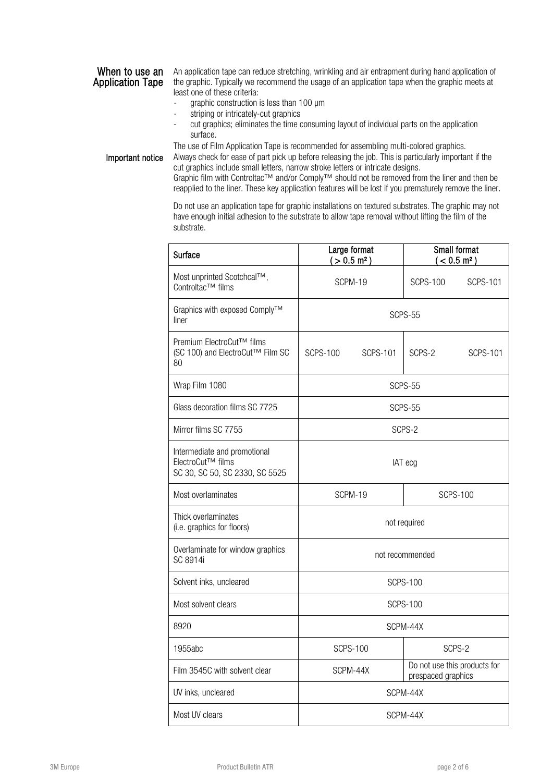## When to use an Application Tape

An application tape can reduce stretching, wrinkling and air entrapment during hand application of the graphic. Typically we recommend the usage of an application tape when the graphic meets at least one of these criteria:

- graphic construction is less than 100 µm
- striping or intricately-cut graphics
- cut graphics; eliminates the time consuming layout of individual parts on the application surface.

The use of Film Application Tape is recommended for assembling multi-colored graphics.

Important notice Always check for ease of part pick up before releasing the job. This is particularly important if the cut graphics include small letters, narrow stroke letters or intricate designs. Graphic film with Controltac™ and/or Comply™ should not be removed from the liner and then be

reapplied to the liner. These key application features will be lost if you prematurely remove the liner.

Do not use an application tape for graphic installations on textured substrates. The graphic may not have enough initial adhesion to the substrate to allow tape removal without lifting the film of the substrate.

| Surface                                                                             | Large format<br>$( > 0.5 \text{ m}^2)$ | <b>Small format</b><br>$(< 0.5$ m <sup>2</sup> )   |  |
|-------------------------------------------------------------------------------------|----------------------------------------|----------------------------------------------------|--|
| Most unprinted Scotchcal™,<br>Controltac™ films                                     | SCPM-19                                | <b>SCPS-100</b><br><b>SCPS-101</b>                 |  |
| Graphics with exposed Comply™<br>liner                                              |                                        | SCPS-55                                            |  |
| Premium ElectroCut™ films<br>(SC 100) and ElectroCut™ Film SC<br>80                 | SCPS-100<br>SCPS-101                   | SCPS-2<br>SCPS-101                                 |  |
| Wrap Film 1080                                                                      | SCPS-55                                |                                                    |  |
| Glass decoration films SC 7725                                                      | SCPS-55                                |                                                    |  |
| Mirror films SC 7755                                                                | SCPS-2                                 |                                                    |  |
| Intermediate and promotional<br>ElectroCut™ films<br>SC 30, SC 50, SC 2330, SC 5525 | IAT ecg                                |                                                    |  |
| Most overlaminates                                                                  | SCPM-19                                | <b>SCPS-100</b>                                    |  |
| Thick overlaminates<br>(i.e. graphics for floors)                                   | not required                           |                                                    |  |
| Overlaminate for window graphics<br>SC 8914i                                        | not recommended                        |                                                    |  |
| Solvent inks, uncleared                                                             | <b>SCPS-100</b>                        |                                                    |  |
| Most solvent clears                                                                 | <b>SCPS-100</b>                        |                                                    |  |
| 8920                                                                                | SCPM-44X                               |                                                    |  |
| 1955abc                                                                             | <b>SCPS-100</b>                        | SCPS-2                                             |  |
| Film 3545C with solvent clear                                                       | SCPM-44X                               | Do not use this products for<br>prespaced graphics |  |
| UV inks, uncleared                                                                  | SCPM-44X                               |                                                    |  |
| Most UV clears                                                                      | SCPM-44X                               |                                                    |  |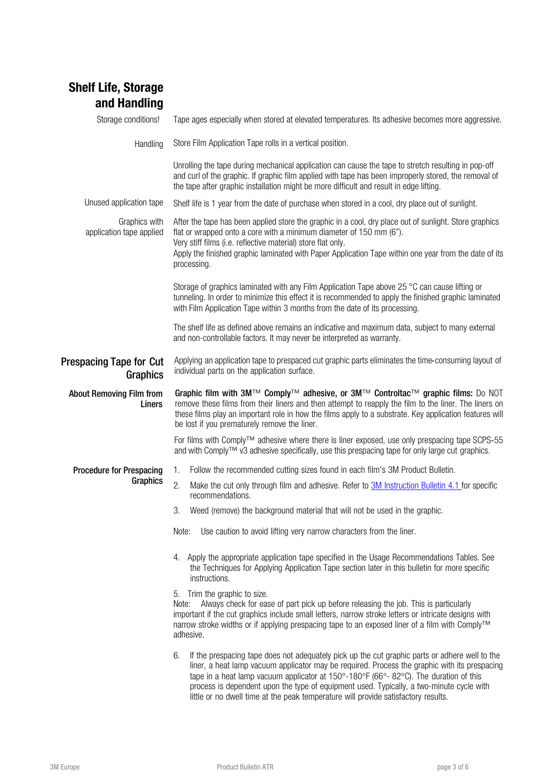# Shelf Life, Storage and Handling

| Storage conditions!                        | Tape ages especially when stored at elevated temperatures. Its adhesive becomes more aggressive.                                                                                                                                                                                                                                                                                                    |  |  |
|--------------------------------------------|-----------------------------------------------------------------------------------------------------------------------------------------------------------------------------------------------------------------------------------------------------------------------------------------------------------------------------------------------------------------------------------------------------|--|--|
| Handling                                   | Store Film Application Tape rolls in a vertical position.                                                                                                                                                                                                                                                                                                                                           |  |  |
|                                            | Unrolling the tape during mechanical application can cause the tape to stretch resulting in pop-off<br>and curl of the graphic. If graphic film applied with tape has been improperly stored, the removal of<br>the tape after graphic installation might be more difficult and result in edge lifting.                                                                                             |  |  |
| Unused application tape                    | Shelf life is 1 year from the date of purchase when stored in a cool, dry place out of sunlight.                                                                                                                                                                                                                                                                                                    |  |  |
| Graphics with<br>application tape applied  | After the tape has been applied store the graphic in a cool, dry place out of sunlight. Store graphics<br>flat or wrapped onto a core with a minimum diameter of 150 mm (6").<br>Very stiff films (i.e. reflective material) store flat only.<br>Apply the finished graphic laminated with Paper Application Tape within one year from the date of its<br>processing.                               |  |  |
|                                            | Storage of graphics laminated with any Film Application Tape above 25 °C can cause lifting or<br>tunneling. In order to minimize this effect it is recommended to apply the finished graphic laminated<br>with Film Application Tape within 3 months from the date of its processing.                                                                                                               |  |  |
|                                            | The shelf life as defined above remains an indicative and maximum data, subject to many external<br>and non-controllable factors. It may never be interpreted as warranty.                                                                                                                                                                                                                          |  |  |
| <b>Prespacing Tape for Cut</b><br>Graphics | Applying an application tape to prespaced cut graphic parts eliminates the time-consuming layout of<br>individual parts on the application surface.                                                                                                                                                                                                                                                 |  |  |
| <b>About Removing Film from</b><br>Liners  | Graphic film with 3M™ Comply™ adhesive, or 3M™ Controltac™ graphic films: Do NOT<br>remove these films from their liners and then attempt to reapply the film to the liner. The liners on<br>these films play an important role in how the films apply to a substrate. Key application features will<br>be lost if you prematurely remove the liner.                                                |  |  |
|                                            | For films with Comply™ adhesive where there is liner exposed, use only prespacing tape SCPS-55<br>and with Comply™ v3 adhesive specifically, use this prespacing tape for only large cut graphics.                                                                                                                                                                                                  |  |  |
| <b>Procedure for Prespacing</b>            | Follow the recommended cutting sizes found in each film's 3M Product Bulletin.<br>1.                                                                                                                                                                                                                                                                                                                |  |  |
| Graphics                                   | 2.<br>Make the cut only through film and adhesive. Refer to <b>3M</b> Instruction Bulletin 4.1 for specific<br>recommendations.                                                                                                                                                                                                                                                                     |  |  |
|                                            | Weed (remove) the background material that will not be used in the graphic.<br>3.                                                                                                                                                                                                                                                                                                                   |  |  |
|                                            | Note:<br>Use caution to avoid lifting very narrow characters from the liner.                                                                                                                                                                                                                                                                                                                        |  |  |
|                                            | 4. Apply the appropriate application tape specified in the Usage Recommendations Tables. See<br>the Techniques for Applying Application Tape section later in this bulletin for more specific<br>instructions.                                                                                                                                                                                      |  |  |
|                                            | 5. Trim the graphic to size.<br>Always check for ease of part pick up before releasing the job. This is particularly<br>Note:<br>important if the cut graphics include small letters, narrow stroke letters or intricate designs with<br>narrow stroke widths or if applying prespacing tape to an exposed liner of a film with Comply™<br>adhesive.                                                |  |  |
|                                            | 6.<br>If the prespacing tape does not adequately pick up the cut graphic parts or adhere well to the<br>liner, a heat lamp vacuum applicator may be required. Process the graphic with its prespacing<br>tape in a heat lamp vacuum applicator at $150^{\circ}$ -180°F (66°-82°C). The duration of this<br>process is dependent upon the type of equipment used. Typically, a two-minute cycle with |  |  |

little or no dwell time at the peak temperature will provide satisfactory results.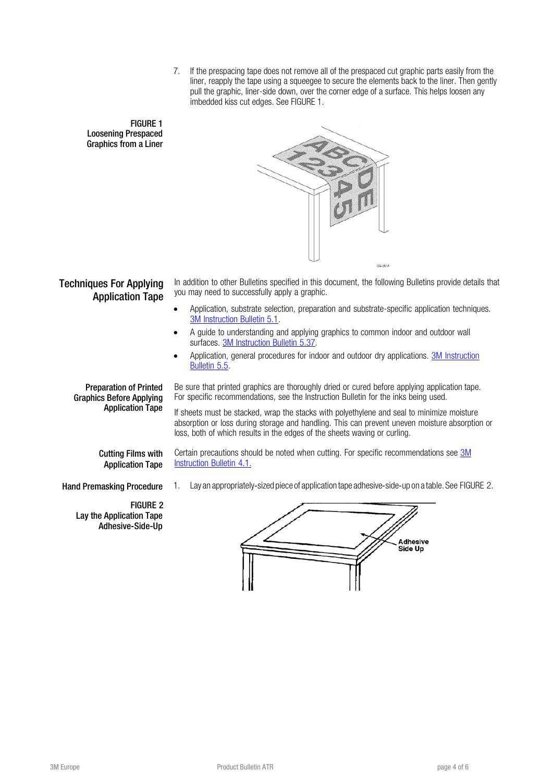7. If the prespacing tape does not remove all of the prespaced cut graphic parts easily from the liner, reapply the tape using a squeegee to secure the elements back to the liner. Then gently pull the graphic, liner-side down, over the corner edge of a surface. This helps loosen any imbedded kiss cut edges. See FIGURE 1.

### FIGURE 1 Loosening Prespaced Graphics from a Liner



# Techniques For Applying Application Tape

In addition to other Bulletins specified in this document, the following Bulletins provide details that you may need to successfully apply a graphic.

- Application, substrate selection, preparation and substrate-specific application techniques. 3M [Instruction](http://multimedia.3m.com/mws/media/12595O/5-1-substrate-selection-preparation-and-application-techniques.pdf) Bulletin 5.1.
- A guide to understanding and applying graphics to common indoor and outdoor wall surfaces. 3M [Instruction](http://solutions.3m.com/wps/portal/3M/en_US/Graphics/3Mgraphics/Products/TechnicalInformation/) Bulletin 5.37.
- Application, general procedures for indoor and outdoor dry applications. 3M [Instruction](http://multimedia.3m.com/mws/mediawebserver?6666660Zjcf6lVs6EVs666s0_COrrrrQ-) [Bulletin](http://multimedia.3m.com/mws/mediawebserver?6666660Zjcf6lVs6EVs666s0_COrrrrQ-) 5.5.

Preparation of Printed Graphics Before Applying Application Tape Be sure that printed graphics are thoroughly dried or cured before applying application tape. For specific recommendations, see the Instruction Bulletin for the inks being used.

If sheets must be stacked, wrap the stacks with polyethylene and seal to minimize moisture absorption or loss during storage and handling. This can prevent uneven moisture absorption or loss, both of which results in the edges of the sheets waving or curling.

Certain precautions should be noted when cutting. For specific recommendations see [3M](http://multimedia.3m.com/mws/mediawebserver?zzzzzAafrKm&sD90TDNgWdmz4ba84Kafob_z4b_z4zzzzzz--)

Cutting Films with Application Tape

[Instruction](http://multimedia.3m.com/mws/mediawebserver?zzzzzAafrKm&sD90TDNgWdmz4ba84Kafob_z4b_z4zzzzzz--) Bulletin 4.1.

Hand Premasking Procedure 1. Lay an appropriately-sized piece of application tape adhesive-side-up on a table. See FIGURE 2.

FIGURE 2 Lay the Application Tape Adhesive-Side-Up

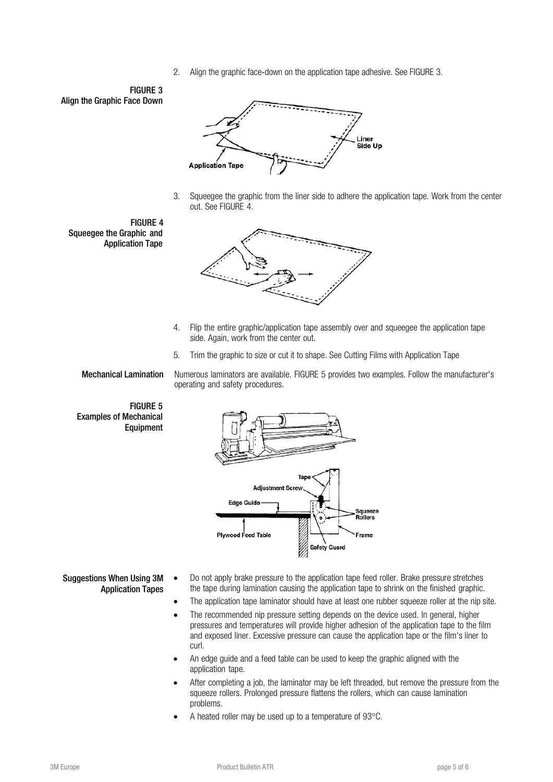2. Align the graphic face-down on the application tape adhesive. See FIGURE 3.

FIGURE 3 Align the Graphic Face Down



3. Squeegee the graphic from the liner side to adhere the application tape. Work from the center out. See FIGURE 4.

FIGURE 4 Squeegee the Graphic and Application Tape



- 4. Flip the entire graphic/application tape assembly over and squeegee the application tape side. Again, work from the center out.
- 5. Trim the graphic to size or cut it to shape. See Cutting Films with Application Tape

Mechanical Lamination Numerous laminators are available. FIGURE 5 provides two examples. Follow the manufacturer's operating and safety procedures.

FIGURE 5 Examples of Mechanical Equipment



- Suggestions When Using 3M Application Tapes
	- Do not apply brake pressure to the application tape feed roller. Brake pressure stretches the tape during lamination causing the application tape to shrink on the finished graphic.
	- The application tape laminator should have at least one rubber squeeze roller at the nip site.
	- The recommended nip pressure setting depends on the device used. In general, higher pressures and temperatures will provide higher adhesion of the application tape to the film and exposed liner. Excessive pressure can cause the application tape or the film's liner to curl.
	- An edge guide and a feed table can be used to keep the graphic aligned with the application tape.
	- After completing a job, the laminator may be left threaded, but remove the pressure from the squeeze rollers. Prolonged pressure flattens the rollers, which can cause lamination problems.
	- A heated roller may be used up to a temperature of 93°C.